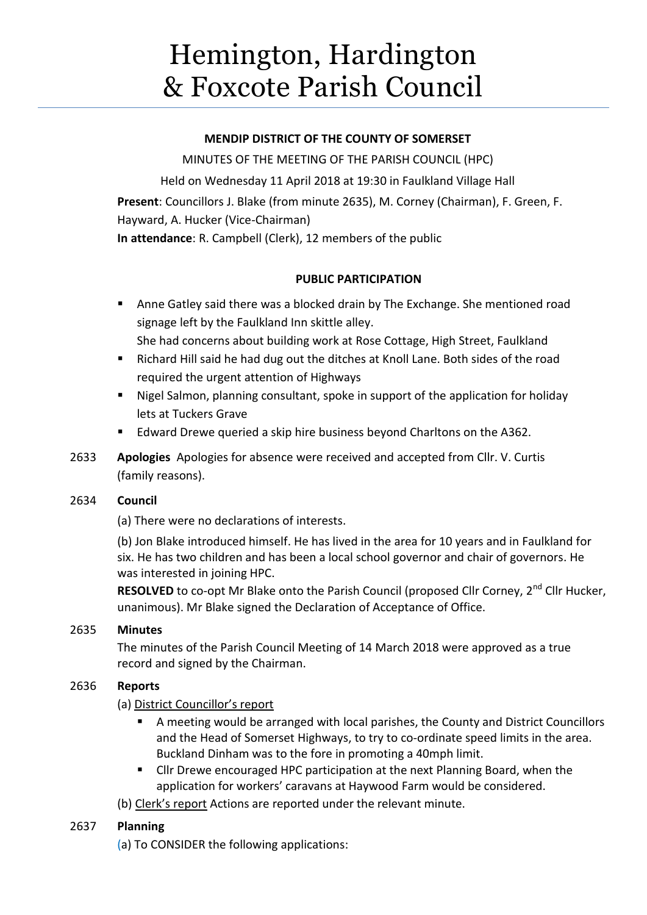# Hemington, Hardington & Foxcote Parish Council

## **MENDIP DISTRICT OF THE COUNTY OF SOMERSET**

MINUTES OF THE MEETING OF THE PARISH COUNCIL (HPC) Held on Wednesday 11 April 2018 at 19:30 in Faulkland Village Hall **Present**: Councillors J. Blake (from minute 2635), M. Corney (Chairman), F. Green, F. Hayward, A. Hucker (Vice-Chairman) **In attendance**: R. Campbell (Clerk), 12 members of the public

# **PUBLIC PARTICIPATION**

- Anne Gatley said there was a blocked drain by The Exchange. She mentioned road signage left by the Faulkland Inn skittle alley.
	- She had concerns about building work at Rose Cottage, High Street, Faulkland
- Richard Hill said he had dug out the ditches at Knoll Lane. Both sides of the road required the urgent attention of Highways
- Nigel Salmon, planning consultant, spoke in support of the application for holiday lets at Tuckers Grave
- Edward Drewe queried a skip hire business beyond Charltons on the A362.
- 2633 **Apologies** Apologies for absence were received and accepted from Cllr. V. Curtis (family reasons).

# 2634 **Council**

(a) There were no declarations of interests.

(b) Jon Blake introduced himself. He has lived in the area for 10 years and in Faulkland for six. He has two children and has been a local school governor and chair of governors. He was interested in joining HPC.

RESOLVED to co-opt Mr Blake onto the Parish Council (proposed Cllr Corney, 2<sup>nd</sup> Cllr Hucker, unanimous). Mr Blake signed the Declaration of Acceptance of Office.

# 2635 **Minutes**

The minutes of the Parish Council Meeting of 14 March 2018 were approved as a true record and signed by the Chairman.

# 2636 **Reports**

(a) District Councillor's report

- A meeting would be arranged with local parishes, the County and District Councillors and the Head of Somerset Highways, to try to co-ordinate speed limits in the area. Buckland Dinham was to the fore in promoting a 40mph limit.
- Cllr Drewe encouraged HPC participation at the next Planning Board, when the application for workers' caravans at Haywood Farm would be considered.
- (b) Clerk's report Actions are reported under the relevant minute.

# 2637 **Planning**

(a) To CONSIDER the following applications: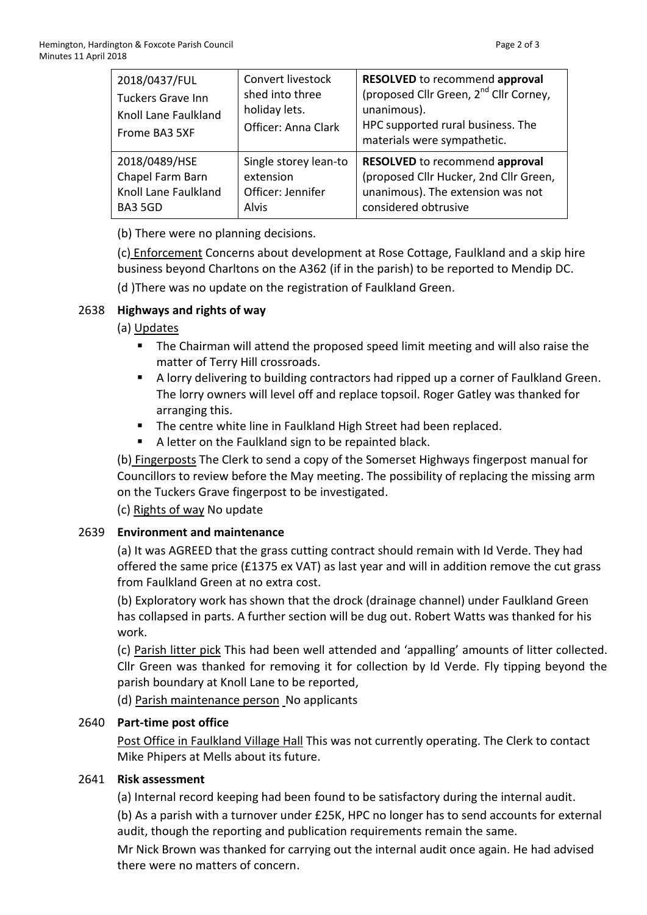| 2018/0437/FUL<br><b>Tuckers Grave Inn</b><br>Knoll Lane Faulkland<br>Frome BA3 5XF | Convert livestock<br>shed into three<br>holiday lets.<br>Officer: Anna Clark | <b>RESOLVED</b> to recommend approval<br>(proposed Cllr Green, 2 <sup>nd</sup> Cllr Corney,<br>unanimous).<br>HPC supported rural business. The<br>materials were sympathetic. |
|------------------------------------------------------------------------------------|------------------------------------------------------------------------------|--------------------------------------------------------------------------------------------------------------------------------------------------------------------------------|
| 2018/0489/HSE                                                                      | Single storey lean-to                                                        | <b>RESOLVED</b> to recommend approval                                                                                                                                          |
| Chapel Farm Barn                                                                   | extension                                                                    | (proposed Cllr Hucker, 2nd Cllr Green,                                                                                                                                         |
| Knoll Lane Faulkland                                                               | Officer: Jennifer                                                            | unanimous). The extension was not                                                                                                                                              |
| BA3 5GD                                                                            | Alvis                                                                        | considered obtrusive                                                                                                                                                           |

(b) There were no planning decisions.

(c) Enforcement Concerns about development at Rose Cottage, Faulkland and a skip hire business beyond Charltons on the A362 (if in the parish) to be reported to Mendip DC.

(d )There was no update on the registration of Faulkland Green.

## 2638 **Highways and rights of way**

## (a) Updates

- The Chairman will attend the proposed speed limit meeting and will also raise the matter of Terry Hill crossroads.
- A lorry delivering to building contractors had ripped up a corner of Faulkland Green. The lorry owners will level off and replace topsoil. Roger Gatley was thanked for arranging this.
- The centre white line in Faulkland High Street had been replaced.
- A letter on the Faulkland sign to be repainted black.

(b) Fingerposts The Clerk to send a copy of the Somerset Highways fingerpost manual for Councillors to review before the May meeting. The possibility of replacing the missing arm on the Tuckers Grave fingerpost to be investigated.

(c) Rights of way No update

# 2639 **Environment and maintenance**

(a) It was AGREED that the grass cutting contract should remain with Id Verde. They had offered the same price (£1375 ex VAT) as last year and will in addition remove the cut grass from Faulkland Green at no extra cost.

(b) Exploratory work has shown that the drock (drainage channel) under Faulkland Green has collapsed in parts. A further section will be dug out. Robert Watts was thanked for his work.

(c) Parish litter pick This had been well attended and 'appalling' amounts of litter collected. Cllr Green was thanked for removing it for collection by Id Verde. Fly tipping beyond the parish boundary at Knoll Lane to be reported,

(d) Parish maintenance person No applicants

## 2640 **Part-time post office**

Post Office in Faulkland Village Hall This was not currently operating. The Clerk to contact Mike Phipers at Mells about its future.

## 2641 **Risk assessment**

(a) Internal record keeping had been found to be satisfactory during the internal audit.

(b) As a parish with a turnover under £25K, HPC no longer has to send accounts for external audit, though the reporting and publication requirements remain the same.

Mr Nick Brown was thanked for carrying out the internal audit once again. He had advised there were no matters of concern.